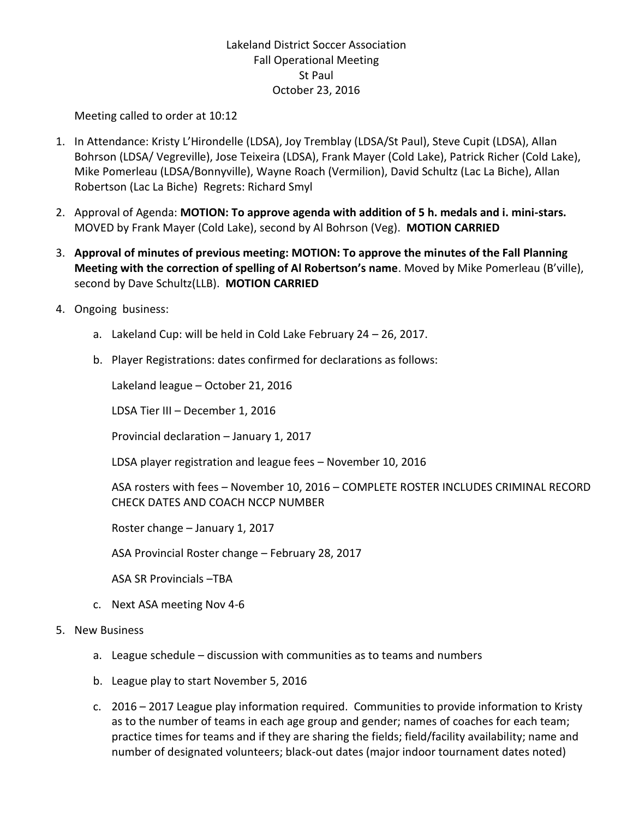## Lakeland District Soccer Association Fall Operational Meeting St Paul October 23, 2016

Meeting called to order at 10:12

- 1. In Attendance: Kristy L'Hirondelle (LDSA), Joy Tremblay (LDSA/St Paul), Steve Cupit (LDSA), Allan Bohrson (LDSA/ Vegreville), Jose Teixeira (LDSA), Frank Mayer (Cold Lake), Patrick Richer (Cold Lake), Mike Pomerleau (LDSA/Bonnyville), Wayne Roach (Vermilion), David Schultz (Lac La Biche), Allan Robertson (Lac La Biche) Regrets: Richard Smyl
- 2. Approval of Agenda: **MOTION: To approve agenda with addition of 5 h. medals and i. mini-stars.**  MOVED by Frank Mayer (Cold Lake), second by Al Bohrson (Veg). **MOTION CARRIED**
- 3. **Approval of minutes of previous meeting: MOTION: To approve the minutes of the Fall Planning Meeting with the correction of spelling of Al Robertson's name**. Moved by Mike Pomerleau (B'ville), second by Dave Schultz(LLB). **MOTION CARRIED**
- 4. Ongoing business:
	- a. Lakeland Cup: will be held in Cold Lake February 24 26, 2017.
	- b. Player Registrations: dates confirmed for declarations as follows:

Lakeland league – October 21, 2016

LDSA Tier III – December 1, 2016

Provincial declaration – January 1, 2017

LDSA player registration and league fees – November 10, 2016

ASA rosters with fees – November 10, 2016 – COMPLETE ROSTER INCLUDES CRIMINAL RECORD CHECK DATES AND COACH NCCP NUMBER

Roster change – January 1, 2017

ASA Provincial Roster change – February 28, 2017

ASA SR Provincials –TBA

- c. Next ASA meeting Nov 4-6
- 5. New Business
	- a. League schedule discussion with communities as to teams and numbers
	- b. League play to start November 5, 2016
	- c. 2016 2017 League play information required. Communities to provide information to Kristy as to the number of teams in each age group and gender; names of coaches for each team; practice times for teams and if they are sharing the fields; field/facility availability; name and number of designated volunteers; black-out dates (major indoor tournament dates noted)